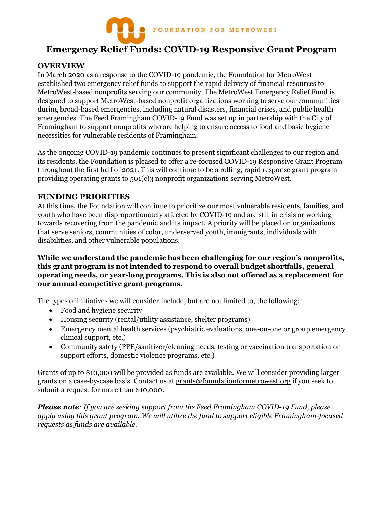

# **Emergency Relief Funds: COVID-19 Responsive Grant Program**

# **OVERVIEW**

In March 2020 as a response to the COVID-19 pandemic, the Foundation for MetroWest established two emergency relief funds to support the rapid delivery of financial resources to MetroWest-based nonprofits serving our community. The MetroWest Emergency Relief Fund is designed to support MetroWest-based nonprofit organizations working to serve our communities during broad-based emergencies, including natural disasters, financial crises, and public health emergencies. The Feed Framingham COVID-19 Fund was set up in partnership with the City of Framingham to support nonprofits who are helping to ensure access to food and basic hygiene necessities for vulnerable residents of Framingham.

As the ongoing COVID-19 pandemic continues to present significant challenges to our region and its residents, the Foundation is pleased to offer a re-focused COVID-19 Responsive Grant Program throughout the first half of 2021. This will continue to be a rolling, rapid response grant program providing operating grants to 501(c)3 nonprofit organizations serving MetroWest.

#### **FUNDING PRIORITIES**

At this time, the Foundation will continue to prioritize our most vulnerable residents, families, and youth who have been disproportionately affected by COVID-19 and are still in crisis or working towards recovering from the pandemic and its impact. A priority will be placed on organizations that serve seniors, communities of color, underserved youth, immigrants, individuals with disabilities, and other vulnerable populations.

**While we understand the pandemic has been challenging for our region's nonprofits, this grant program is not intended to respond to overall budget shortfalls, general operating needs, or year-long programs. This is also not offered as a replacement for our annual competitive grant programs.** 

The types of initiatives we will consider include, but are not limited to, the following:

- Food and hygiene security
- Housing security (rental/utility assistance, shelter programs)
- Emergency mental health services (psychiatric evaluations, one-on-one or group emergency clinical support, etc.)
- Community safety (PPE/sanitizer/cleaning needs, testing or vaccination transportation or support efforts, domestic violence programs, etc.)

Grants of up to \$10,000 will be provided as funds are available. We will consider providing larger grants on a case-by-case basis. Contact us at [grants@foundationformetrowest.org](mailto:grants@foundationformetrowest.org) if you seek to submit a request for more than \$10,000.

*Please note: If you are seeking support from the Feed Framingham COVID-19 Fund, please apply using this grant program. We will utilize the fund to support eligible Framingham-focused requests as funds are available.*